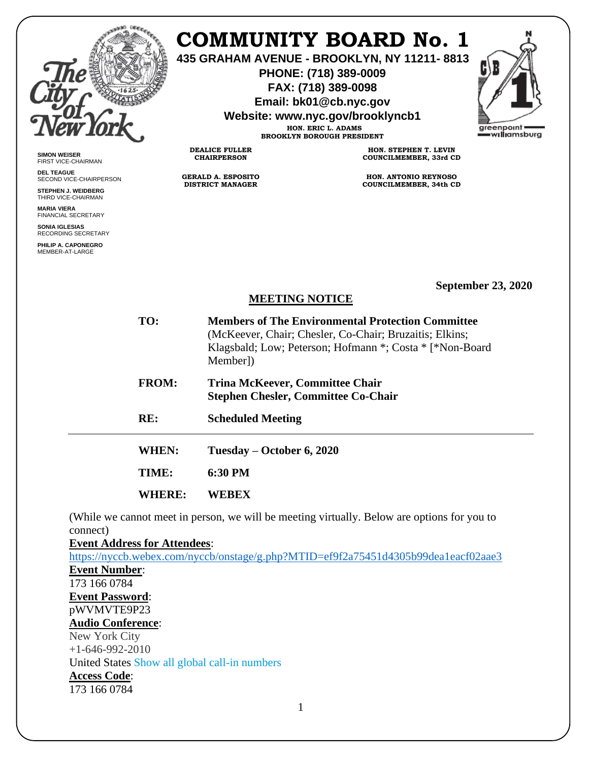

**SIMON WEISER** FIRST VICE-CHAIRMAN **DEL TEAGUE**

SECOND VICE-CHAIRPERSON **STEPHEN J. WEIDBERG** THIRD VICE-CHAIRMAN **MARIA VIERA** FINANCIAL SECRETARY **SONIA IGLESIAS** RECORDING SECRETARY **PHILIP A. CAPONEGRO** MEMBER-AT-LARGE

### **COMMUNITY BOARD No. 1**

**435 GRAHAM AVENUE - BROOKLYN, NY 11211- 8813**

**PHONE: (718) 389-0009 FAX: (718) 389-0098**

**Email: bk01@cb.nyc.gov**

**Website: www.nyc.gov/brooklyncb1**

**HON. ERIC L. ADAMS BROOKLYN BOROUGH PRESIDENT**

**DEALICE FULLER CHAIRPERSON**

**GERALD A. ESPOSITO DISTRICT MANAGER**

**HON. STEPHEN T. LEVIN COUNCILMEMBER, 33rd CD**

**HON. ANTONIO REYNOSO COUNCILMEMBER, 34th CD**

**September 23, 2020**

#### **MEETING NOTICE**

| TO:           | <b>Members of The Environmental Protection Committee</b><br>(McKeever, Chair; Chesler, Co-Chair; Bruzaitis; Elkins;<br>Klagsbald; Low; Peterson; Hofmann *; Costa * [*Non-Board]<br>Member]) |
|---------------|----------------------------------------------------------------------------------------------------------------------------------------------------------------------------------------------|
| <b>FROM:</b>  | <b>Trina McKeever, Committee Chair</b><br><b>Stephen Chesler, Committee Co-Chair</b>                                                                                                         |
| RE:           | <b>Scheduled Meeting</b>                                                                                                                                                                     |
| WHEN:         | Tuesday – October 6, 2020                                                                                                                                                                    |
| TIME:         | 6:30 PM                                                                                                                                                                                      |
| <b>WHERE:</b> | WEREX                                                                                                                                                                                        |
|               |                                                                                                                                                                                              |

(While we cannot meet in person, we will be meeting virtually. Below are options for you to connect)

**Event Address for Attendees**:

<https://nyccb.webex.com/nyccb/onstage/g.php?MTID=ef9f2a75451d4305b99dea1eacf02aae3> **Event Number**: 173 166 0784 **Event Password**: pWVMVTE9P23 **Audio Conference**: New York City  $+1-646-992-2010$ United States Show all global call-in numbers **Access Code**: 173 166 0784

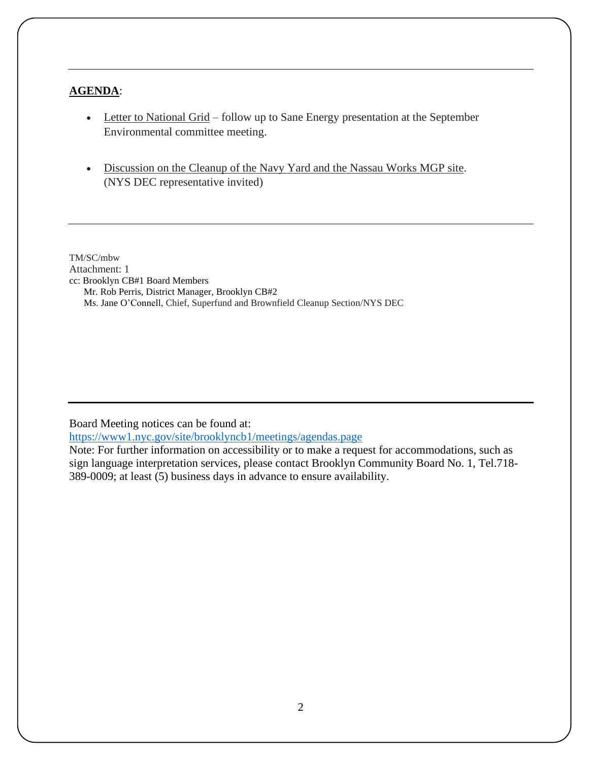#### **AGENDA**:

- Letter to National Grid follow up to Sane Energy presentation at the September Environmental committee meeting.
- Discussion on the Cleanup of the Navy Yard and the Nassau Works MGP site. (NYS DEC representative invited)

TM/SC/mbw Attachment: 1 cc: Brooklyn CB#1 Board Members Mr. Rob Perris, District Manager, Brooklyn CB#2 Ms. Jane O'Connell, Chief, Superfund and Brownfield Cleanup Section/NYS DEC

Board Meeting notices can be found at:

<https://www1.nyc.gov/site/brooklyncb1/meetings/agendas.page>

Note: For further information on accessibility or to make a request for accommodations, such as sign language interpretation services, please contact Brooklyn Community Board No. 1, Tel.718- 389-0009; at least (5) business days in advance to ensure availability.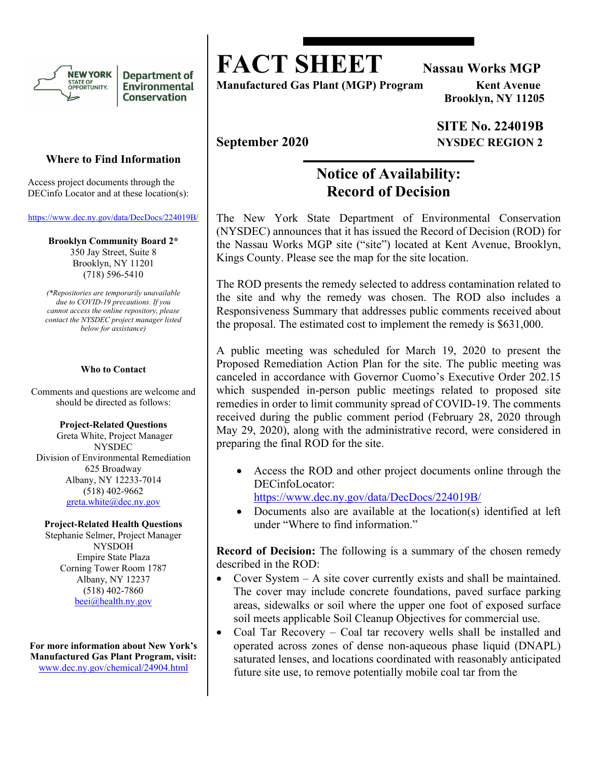

**Department of** Environmental **Conservation** 

#### **Where to Find Information**

Access project documents through the DECinfo Locator and at these location(s):

https://www.dec.ny.gov/data/DecDocs/224019B/

**Brooklyn Community Board 2\***  350 Jay Street, Suite 8 Brooklyn, NY 11201 (718) 596-5410

*(\*Repositories are temporarily unavailable due to COVID-19 precautions. If you cannot access the online repository, please contact the NYSDEC project manager listed below for assistance)* 

#### **Who to Contact**

Comments and questions are welcome and should be directed as follows:

**Project-Related Questions**  Greta White, Project Manager NYSDEC Division of Environmental Remediation 625 Broadway Albany, NY 12233-7014 (518) 402-9662 greta.white@dec.ny.gov

#### **Project-Related Health Questions**

Stephanie Selmer, Project Manager NYSDOH Empire State Plaza Corning Tower Room 1787 Albany, NY 12237 (518) 402-7860 beei@health.ny.gov

**For more information about New York's Manufactured Gas Plant Program, visit:**  www.dec.ny.gov/chemical/24904.html

**FACT SHEET** Nassau Works MGP

**Manufactured Gas Plant (MGP) Program Kent Avenue** 

 **Brooklyn, NY 11205** 

#### **SITE No. 224019B September 2020** NYSDEC REGION 2

### **Notice of Availability: Record of Decision**

The New York State Department of Environmental Conservation (NYSDEC) announces that it has issued the Record of Decision (ROD) for the Nassau Works MGP site ("site") located at Kent Avenue, Brooklyn, Kings County. Please see the map for the site location.

The ROD presents the remedy selected to address contamination related to the site and why the remedy was chosen. The ROD also includes a Responsiveness Summary that addresses public comments received about the proposal. The estimated cost to implement the remedy is \$631,000.

A public meeting was scheduled for March 19, 2020 to present the Proposed Remediation Action Plan for the site. The public meeting was canceled in accordance with Governor Cuomo's Executive Order 202.15 which suspended in-person public meetings related to proposed site remedies in order to limit community spread of COVID-19. The comments received during the public comment period (February 28, 2020 through May 29, 2020), along with the administrative record, were considered in preparing the final ROD for the site.

- Access the ROD and other project documents online through the DECinfoLocator: https://www.dec.ny.gov/data/DecDocs/224019B/
- Documents also are available at the location(s) identified at left under "Where to find information."

**Record of Decision:** The following is a summary of the chosen remedy described in the ROD:

- Cover System A site cover currently exists and shall be maintained. The cover may include concrete foundations, paved surface parking areas, sidewalks or soil where the upper one foot of exposed surface soil meets applicable Soil Cleanup Objectives for commercial use.
- Coal Tar Recovery Coal tar recovery wells shall be installed and operated across zones of dense non-aqueous phase liquid (DNAPL) saturated lenses, and locations coordinated with reasonably anticipated future site use, to remove potentially mobile coal tar from the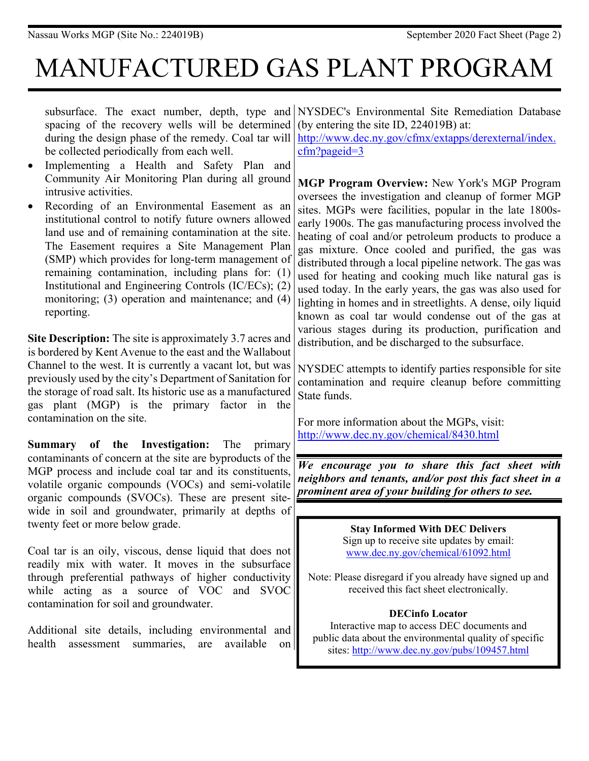# MANUFACTURED GAS PLANT PROGRAM

subsurface. The exact number, depth, type and NYSDEC's Environmental Site Remediation Database spacing of the recovery wells will be determined during the design phase of the remedy. Coal tar will be collected periodically from each well. • Implementing a Health and Safety Plan and Community Air Monitoring Plan during all ground intrusive activities. Recording of an Environmental Easement as an institutional control to notify future owners allowed land use and of remaining contamination at the site. The Easement requires a Site Management Plan (SMP) which provides for long-term management of remaining contamination, including plans for: (1) Institutional and Engineering Controls (IC/ECs); (2) monitoring; (3) operation and maintenance; and (4) reporting. (by entering the site ID, 224019B) at: http://www.dec.ny.gov/cfmx/extapps/derexternal/index. cfm?pageid=3 **MGP Program Overview:** New York's MGP Program oversees the investigation and cleanup of former MGP sites. MGPs were facilities, popular in the late 1800searly 1900s. The gas manufacturing process involved the heating of coal and/or petroleum products to produce a gas mixture. Once cooled and purified, the gas was distributed through a local pipeline network. The gas was used for heating and cooking much like natural gas is used today. In the early years, the gas was also used for lighting in homes and in streetlights. A dense, oily liquid known as coal tar would condense out of the gas at various stages during its production, purification and distribution, and be discharged to the subsurface. NYSDEC attempts to identify parties responsible for site contamination and require cleanup before committing

State funds.

For more information about the MGPs, visit: http://www.dec.ny.gov/chemical/8430.html

*We encourage you to share this fact sheet with neighbors and tenants, and/or post this fact sheet in a prominent area of your building for others to see.* 

> **Stay Informed With DEC Delivers**  Sign up to receive site updates by email: www.dec.ny.gov/chemical/61092.html

Note: Please disregard if you already have signed up and received this fact sheet electronically.

#### **DECinfo Locator**

Interactive map to access DEC documents and public data about the environmental quality of specific sites: http://www.dec.ny.gov/pubs/109457.html

- 
- 

**Site Description:** The site is approximately 3.7 acres and is bordered by Kent Avenue to the east and the Wallabout Channel to the west. It is currently a vacant lot, but was previously used by the city's Department of Sanitation for the storage of road salt. Its historic use as a manufactured gas plant (MGP) is the primary factor in the contamination on the site.

**Summary of the Investigation:** The primary contaminants of concern at the site are byproducts of the MGP process and include coal tar and its constituents, volatile organic compounds (VOCs) and semi-volatile organic compounds (SVOCs). These are present sitewide in soil and groundwater, primarily at depths of twenty feet or more below grade.

Coal tar is an oily, viscous, dense liquid that does not readily mix with water. It moves in the subsurface through preferential pathways of higher conductivity while acting as a source of VOC and SVOC contamination for soil and groundwater.

Additional site details, including environmental and health assessment summaries, are available on